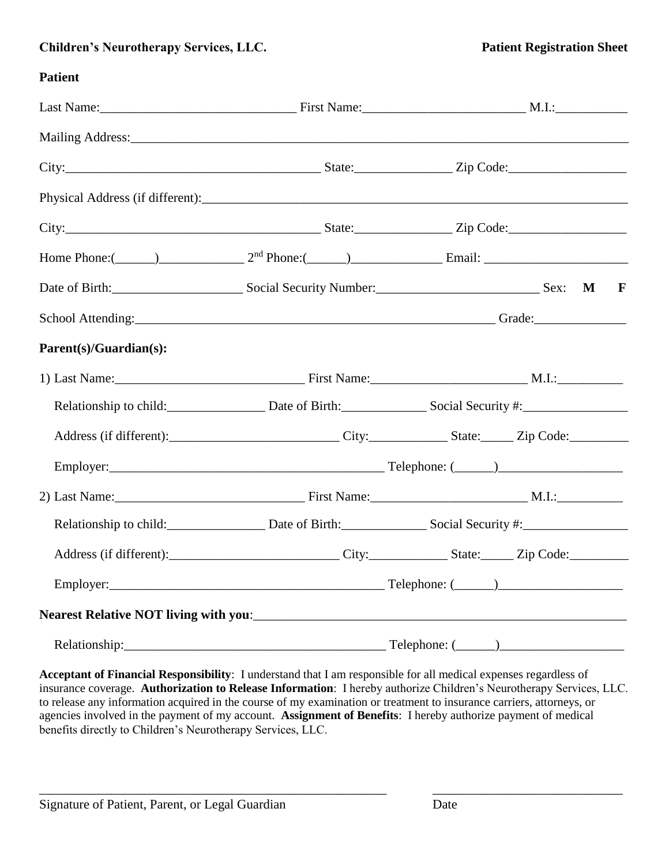# **Children's Neurotherapy Services, LLC. Patient Registration Sheet**

## **Patient**

|                                                       |  | Last Name: M.I.: Manner M.I.: Manner M.I.: Manner M.I.: M.I.: M.I.: M.I.: M.I.: M.I.: M.I.: M.I.: M.I.: M.I.: M.I.: M.I.: M.I.: M.I.: M.I.: M.I.: M.I.: M.I.: M.I.: M.I.: M.I.: M.I.: M.I.: M.I.: M.I.: M.I.: M.I.: M.I.: M.I. |  |
|-------------------------------------------------------|--|--------------------------------------------------------------------------------------------------------------------------------------------------------------------------------------------------------------------------------|--|
|                                                       |  |                                                                                                                                                                                                                                |  |
|                                                       |  |                                                                                                                                                                                                                                |  |
|                                                       |  |                                                                                                                                                                                                                                |  |
|                                                       |  |                                                                                                                                                                                                                                |  |
|                                                       |  | Home Phone:( $\qquad$ ) $2^{nd}$ Phone:( $\qquad$ ) Email: $\qquad$ Email:                                                                                                                                                     |  |
| Date of Birth: Sex: Social Security Number: Sex: Sex: |  | $\mathbf M$<br>$\mathbf{F}$                                                                                                                                                                                                    |  |
|                                                       |  |                                                                                                                                                                                                                                |  |
| Parent(s)/Guardian(s):                                |  |                                                                                                                                                                                                                                |  |
|                                                       |  |                                                                                                                                                                                                                                |  |
|                                                       |  | Relationship to child: Date of Birth: Social Security #: ________________________                                                                                                                                              |  |
|                                                       |  | Address (if different): City: City: State: Zip Code:                                                                                                                                                                           |  |
|                                                       |  |                                                                                                                                                                                                                                |  |
|                                                       |  |                                                                                                                                                                                                                                |  |
|                                                       |  | Relationship to child: Date of Birth: Social Security #: ________________________                                                                                                                                              |  |
|                                                       |  |                                                                                                                                                                                                                                |  |
|                                                       |  |                                                                                                                                                                                                                                |  |
|                                                       |  |                                                                                                                                                                                                                                |  |
|                                                       |  |                                                                                                                                                                                                                                |  |

**Acceptant of Financial Responsibility**: I understand that I am responsible for all medical expenses regardless of insurance coverage. **Authorization to Release Information**: I hereby authorize Children's Neurotherapy Services, LLC. to release any information acquired in the course of my examination or treatment to insurance carriers, attorneys, or agencies involved in the payment of my account. **Assignment of Benefits**: I hereby authorize payment of medical benefits directly to Children's Neurotherapy Services, LLC.

\_\_\_\_\_\_\_\_\_\_\_\_\_\_\_\_\_\_\_\_\_\_\_\_\_\_\_\_\_\_\_\_\_\_\_\_\_\_\_\_\_\_\_\_\_\_\_\_\_\_\_\_\_ \_\_\_\_\_\_\_\_\_\_\_\_\_\_\_\_\_\_\_\_\_\_\_\_\_\_\_\_\_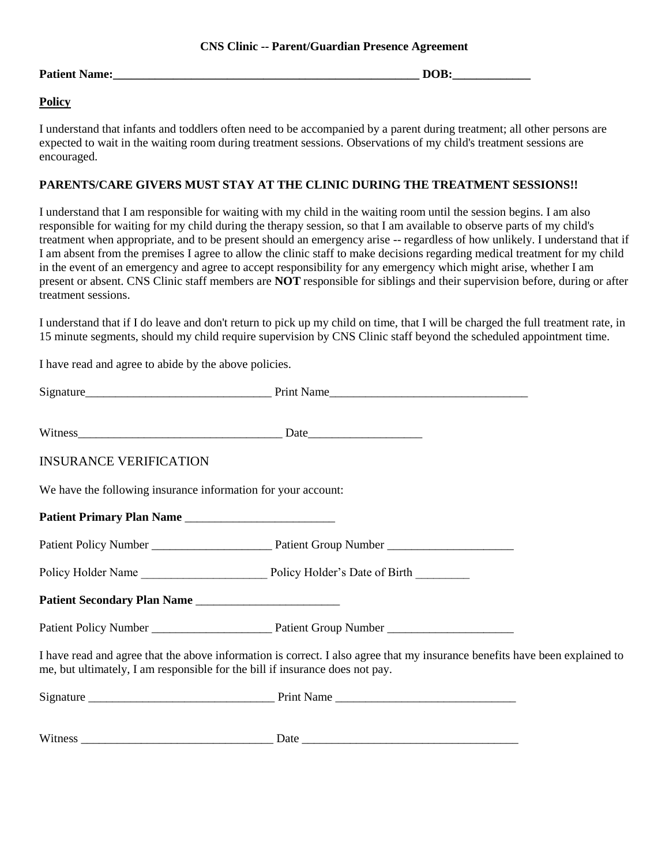#### **CNS Clinic -- Parent/Guardian Presence Agreement**

#### **Patient Name:**  $\Box$

### **Policy**

I understand that infants and toddlers often need to be accompanied by a parent during treatment; all other persons are expected to wait in the waiting room during treatment sessions. Observations of my child's treatment sessions are encouraged.

#### **PARENTS/CARE GIVERS MUST STAY AT THE CLINIC DURING THE TREATMENT SESSIONS!!**

I understand that I am responsible for waiting with my child in the waiting room until the session begins. I am also responsible for waiting for my child during the therapy session, so that I am available to observe parts of my child's treatment when appropriate, and to be present should an emergency arise -- regardless of how unlikely. I understand that if I am absent from the premises I agree to allow the clinic staff to make decisions regarding medical treatment for my child in the event of an emergency and agree to accept responsibility for any emergency which might arise, whether I am present or absent. CNS Clinic staff members are **NOT** responsible for siblings and their supervision before, during or after treatment sessions.

I understand that if I do leave and don't return to pick up my child on time, that I will be charged the full treatment rate, in 15 minute segments, should my child require supervision by CNS Clinic staff beyond the scheduled appointment time.

I have read and agree to abide by the above policies.

| <b>INSURANCE VERIFICATION</b>                                                |                                                                                                                             |  |
|------------------------------------------------------------------------------|-----------------------------------------------------------------------------------------------------------------------------|--|
| We have the following insurance information for your account:                |                                                                                                                             |  |
| Patient Primary Plan Name                                                    |                                                                                                                             |  |
|                                                                              |                                                                                                                             |  |
|                                                                              |                                                                                                                             |  |
|                                                                              |                                                                                                                             |  |
|                                                                              |                                                                                                                             |  |
| me, but ultimately, I am responsible for the bill if insurance does not pay. | I have read and agree that the above information is correct. I also agree that my insurance benefits have been explained to |  |
|                                                                              |                                                                                                                             |  |
|                                                                              |                                                                                                                             |  |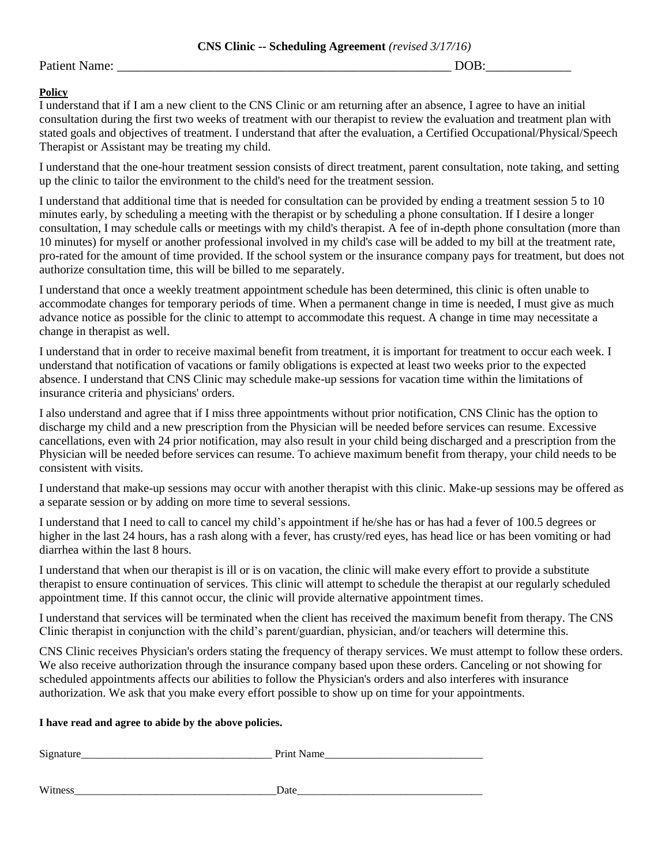#### Patient Name: \_\_\_\_\_\_\_\_\_\_\_\_\_\_\_\_\_\_\_\_\_\_\_\_\_\_\_\_\_\_\_\_\_\_\_\_\_\_\_\_\_\_\_\_\_\_\_\_\_\_\_ DOB:\_\_\_\_\_\_\_\_\_\_\_\_\_

#### **Policy**

I understand that if I am a new client to the CNS Clinic or am returning after an absence, I agree to have an initial consultation during the first two weeks of treatment with our therapist to review the evaluation and treatment plan with stated goals and objectives of treatment. I understand that after the evaluation, a Certified Occupational/Physical/Speech Therapist or Assistant may be treating my child.

I understand that the one-hour treatment session consists of direct treatment, parent consultation, note taking, and setting up the clinic to tailor the environment to the child's need for the treatment session.

I understand that additional time that is needed for consultation can be provided by ending a treatment session 5 to 10 minutes early, by scheduling a meeting with the therapist or by scheduling a phone consultation. If I desire a longer consultation, I may schedule calls or meetings with my child's therapist. A fee of in-depth phone consultation (more than 10 minutes) for myself or another professional involved in my child's case will be added to my bill at the treatment rate, pro-rated for the amount of time provided. If the school system or the insurance company pays for treatment, but does not authorize consultation time, this will be billed to me separately.

I understand that once a weekly treatment appointment schedule has been determined, this clinic is often unable to accommodate changes for temporary periods of time. When a permanent change in time is needed, I must give as much advance notice as possible for the clinic to attempt to accommodate this request. A change in time may necessitate a change in therapist as well.

I understand that in order to receive maximal benefit from treatment, it is important for treatment to occur each week. I understand that notification of vacations or family obligations is expected at least two weeks prior to the expected absence. I understand that CNS Clinic may schedule make-up sessions for vacation time within the limitations of insurance criteria and physicians' orders.

I also understand and agree that if I miss three appointments without prior notification, CNS Clinic has the option to discharge my child and a new prescription from the Physician will be needed before services can resume. Excessive cancellations, even with 24 prior notification, may also result in your child being discharged and a prescription from the Physician will be needed before services can resume. To achieve maximum benefit from therapy, your child needs to be consistent with visits.

I understand that make-up sessions may occur with another therapist with this clinic. Make-up sessions may be offered as a separate session or by adding on more time to several sessions.

I understand that I need to call to cancel my child's appointment if he/she has or has had a fever of 100.5 degrees or higher in the last 24 hours, has a rash along with a fever, has crusty/red eyes, has head lice or has been vomiting or had diarrhea within the last 8 hours.

I understand that when our therapist is ill or is on vacation, the clinic will make every effort to provide a substitute therapist to ensure continuation of services. This clinic will attempt to schedule the therapist at our regularly scheduled appointment time. If this cannot occur, the clinic will provide alternative appointment times.

I understand that services will be terminated when the client has received the maximum benefit from therapy. The CNS Clinic therapist in conjunction with the child's parent/guardian, physician, and/or teachers will determine this.

CNS Clinic receives Physician's orders stating the frequency of therapy services. We must attempt to follow these orders. We also receive authorization through the insurance company based upon these orders. Canceling or not showing for scheduled appointments affects our abilities to follow the Physician's orders and also interferes with insurance authorization. We ask that you make every effort possible to show up on time for your appointments.

#### **I have read and agree to abide by the above policies.**

| $\sim$<br>ື | __________________ |
|-------------|--------------------|
|             |                    |
|             |                    |

Witness\_\_\_\_\_\_\_\_\_\_\_\_\_\_\_\_\_\_\_\_\_\_\_\_\_\_\_\_\_\_\_\_\_\_\_\_\_Date\_\_\_\_\_\_\_\_\_\_\_\_\_\_\_\_\_\_\_\_\_\_\_\_\_\_\_\_\_\_\_\_\_\_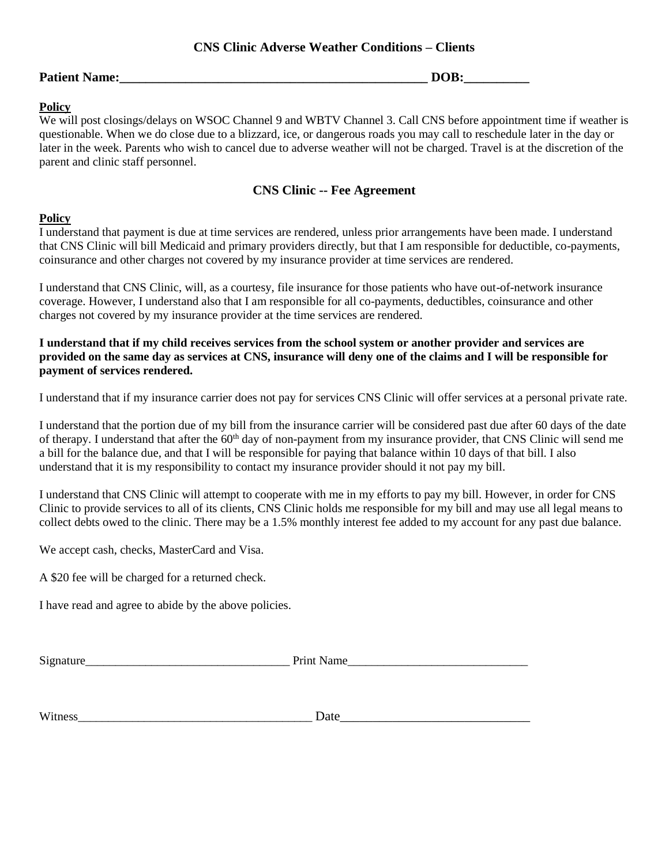# **CNS Clinic Adverse Weather Conditions – Clients**

### **Patient Name:\_\_\_\_\_\_\_\_\_\_\_\_\_\_\_\_\_\_\_\_\_\_\_\_\_\_\_\_\_\_\_\_\_\_\_\_\_\_\_\_\_\_\_\_\_\_\_ DOB:\_\_\_\_\_\_\_\_\_\_**

#### **Policy**

We will post closings/delays on WSOC Channel 9 and WBTV Channel 3. Call CNS before appointment time if weather is questionable. When we do close due to a blizzard, ice, or dangerous roads you may call to reschedule later in the day or later in the week. Parents who wish to cancel due to adverse weather will not be charged. Travel is at the discretion of the parent and clinic staff personnel.

# **CNS Clinic -- Fee Agreement**

#### **Policy**

I understand that payment is due at time services are rendered, unless prior arrangements have been made. I understand that CNS Clinic will bill Medicaid and primary providers directly, but that I am responsible for deductible, co-payments, coinsurance and other charges not covered by my insurance provider at time services are rendered.

I understand that CNS Clinic, will, as a courtesy, file insurance for those patients who have out-of-network insurance coverage. However, I understand also that I am responsible for all co-payments, deductibles, coinsurance and other charges not covered by my insurance provider at the time services are rendered.

**I understand that if my child receives services from the school system or another provider and services are provided on the same day as services at CNS, insurance will deny one of the claims and I will be responsible for payment of services rendered.**

I understand that if my insurance carrier does not pay for services CNS Clinic will offer services at a personal private rate.

I understand that the portion due of my bill from the insurance carrier will be considered past due after 60 days of the date of therapy. I understand that after the 60<sup>th</sup> day of non-payment from my insurance provider, that CNS Clinic will send me a bill for the balance due, and that I will be responsible for paying that balance within 10 days of that bill. I also understand that it is my responsibility to contact my insurance provider should it not pay my bill.

I understand that CNS Clinic will attempt to cooperate with me in my efforts to pay my bill. However, in order for CNS Clinic to provide services to all of its clients, CNS Clinic holds me responsible for my bill and may use all legal means to collect debts owed to the clinic. There may be a 1.5% monthly interest fee added to my account for any past due balance.

We accept cash, checks, MasterCard and Visa.

A \$20 fee will be charged for a returned check.

I have read and agree to abide by the above policies.

Signature\_\_\_\_\_\_\_\_\_\_\_\_\_\_\_\_\_\_\_\_\_\_\_\_\_\_\_\_\_\_\_\_\_\_ Print Name\_\_\_\_\_\_\_\_\_\_\_\_\_\_\_\_\_\_\_\_\_\_\_\_\_\_\_\_\_\_

Witness\_\_\_\_\_\_\_\_\_\_\_\_\_\_\_\_\_\_\_\_\_\_\_\_\_\_\_\_\_\_\_\_\_\_\_\_\_\_\_ Date\_\_\_\_\_\_\_\_\_\_\_\_\_\_\_\_\_\_\_\_\_\_\_\_\_\_\_\_\_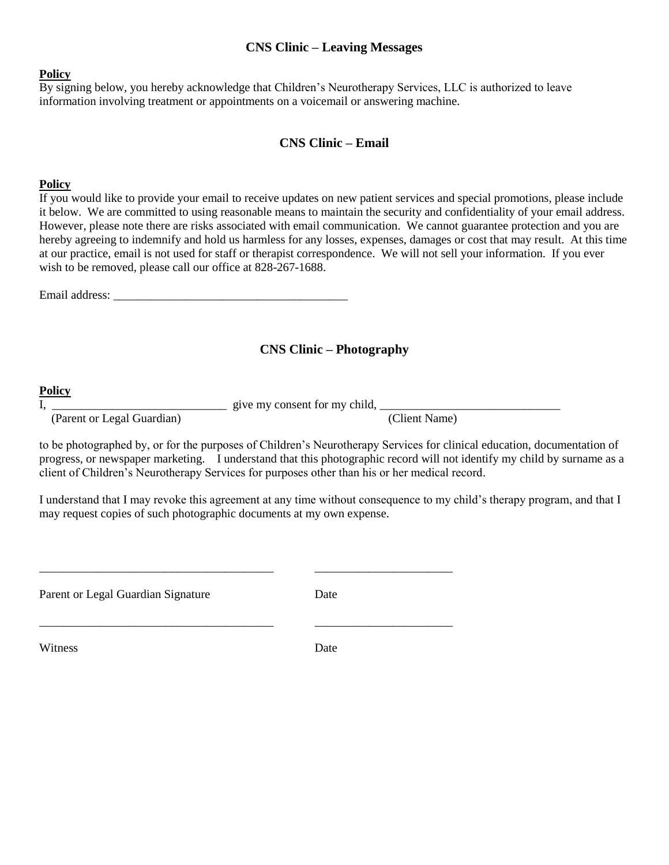## **CNS Clinic – Leaving Messages**

#### **Policy**

By signing below, you hereby acknowledge that Children's Neurotherapy Services, LLC is authorized to leave information involving treatment or appointments on a voicemail or answering machine.

#### **CNS Clinic – Email**

#### **Policy**

If you would like to provide your email to receive updates on new patient services and special promotions, please include it below. We are committed to using reasonable means to maintain the security and confidentiality of your email address. However, please note there are risks associated with email communication. We cannot guarantee protection and you are hereby agreeing to indemnify and hold us harmless for any losses, expenses, damages or cost that may result. At this time at our practice, email is not used for staff or therapist correspondence. We will not sell your information. If you ever wish to be removed, please call our office at 828-267-1688.

Email address:

#### **CNS Clinic – Photography**

#### **Policy**

I,  $\frac{1}{2}$  give my consent for my child,  $\frac{1}{2}$  and  $\frac{1}{2}$  and  $\frac{1}{2}$  and  $\frac{1}{2}$  give my consent for my child,  $\frac{1}{2}$  and  $\frac{1}{2}$  and  $\frac{1}{2}$  and  $\frac{1}{2}$  and  $\frac{1}{2}$  and  $\frac{1}{2}$  and  $\frac{1}{2}$  an

(Parent or Legal Guardian) (Client Name)

to be photographed by, or for the purposes of Children's Neurotherapy Services for clinical education, documentation of progress, or newspaper marketing. I understand that this photographic record will not identify my child by surname as a client of Children's Neurotherapy Services for purposes other than his or her medical record.

I understand that I may revoke this agreement at any time without consequence to my child's therapy program, and that I may request copies of such photographic documents at my own expense.

| Parent or Legal Guardian Signature | Date |
|------------------------------------|------|
| Witness                            | Date |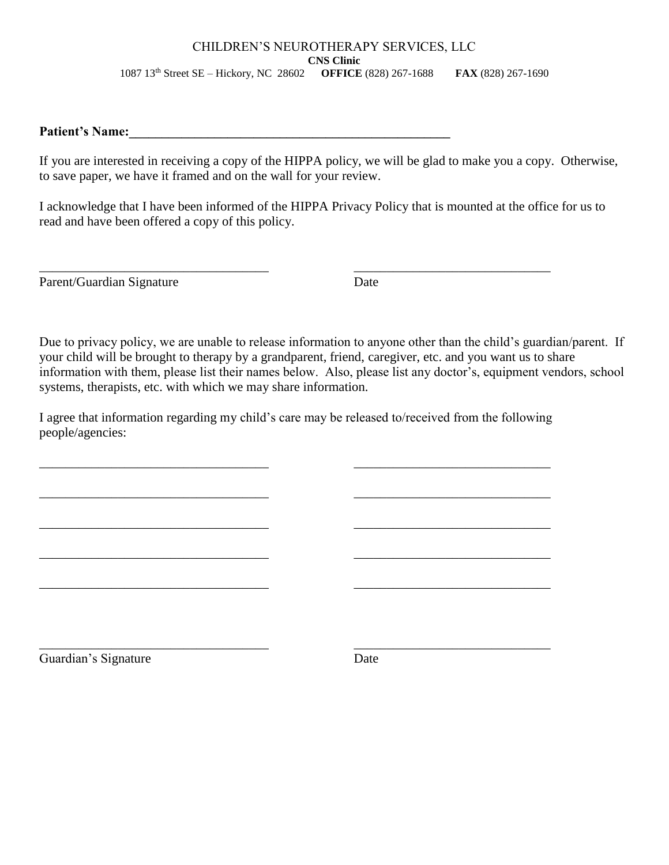#### CHILDREN'S NEUROTHERAPY SERVICES, LLC **CNS Clinic** 1087 13th Street SE – Hickory, NC 28602 **OFFICE** (828) 267-1688 **FAX** (828) 267-1690

# **Patient's Name:\_\_\_\_\_\_\_\_\_\_\_\_\_\_\_\_\_\_\_\_\_\_\_\_\_\_\_\_\_\_\_\_\_\_\_\_\_\_\_\_\_\_\_\_\_\_\_\_\_**

If you are interested in receiving a copy of the HIPPA policy, we will be glad to make you a copy. Otherwise, to save paper, we have it framed and on the wall for your review.

I acknowledge that I have been informed of the HIPPA Privacy Policy that is mounted at the office for us to read and have been offered a copy of this policy.

Parent/Guardian Signature Date

Due to privacy policy, we are unable to release information to anyone other than the child's guardian/parent. If your child will be brought to therapy by a grandparent, friend, caregiver, etc. and you want us to share information with them, please list their names below. Also, please list any doctor's, equipment vendors, school systems, therapists, etc. with which we may share information.

I agree that information regarding my child's care may be released to/received from the following people/agencies:

\_\_\_\_\_\_\_\_\_\_\_\_\_\_\_\_\_\_\_\_\_\_\_\_\_\_\_\_\_\_\_\_\_\_\_ \_\_\_\_\_\_\_\_\_\_\_\_\_\_\_\_\_\_\_\_\_\_\_\_\_\_\_\_\_\_

 $\overline{\phantom{a}}$  , and the contribution of the contribution of the contribution of the contribution of the contribution of the contribution of the contribution of the contribution of the contribution of the contribution of the

\_\_\_\_\_\_\_\_\_\_\_\_\_\_\_\_\_\_\_\_\_\_\_\_\_\_\_\_\_\_\_\_\_\_\_ \_\_\_\_\_\_\_\_\_\_\_\_\_\_\_\_\_\_\_\_\_\_\_\_\_\_\_\_\_\_

\_\_\_\_\_\_\_\_\_\_\_\_\_\_\_\_\_\_\_\_\_\_\_\_\_\_\_\_\_\_\_\_\_\_\_ \_\_\_\_\_\_\_\_\_\_\_\_\_\_\_\_\_\_\_\_\_\_\_\_\_\_\_\_\_\_

 $\overline{\phantom{a}}$  , and the contribution of the contribution of the contribution of the contribution of the contribution of the contribution of the contribution of the contribution of the contribution of the contribution of the

\_\_\_\_\_\_\_\_\_\_\_\_\_\_\_\_\_\_\_\_\_\_\_\_\_\_\_\_\_\_\_\_\_\_\_ \_\_\_\_\_\_\_\_\_\_\_\_\_\_\_\_\_\_\_\_\_\_\_\_\_\_\_\_\_\_

Guardian's Signature Date